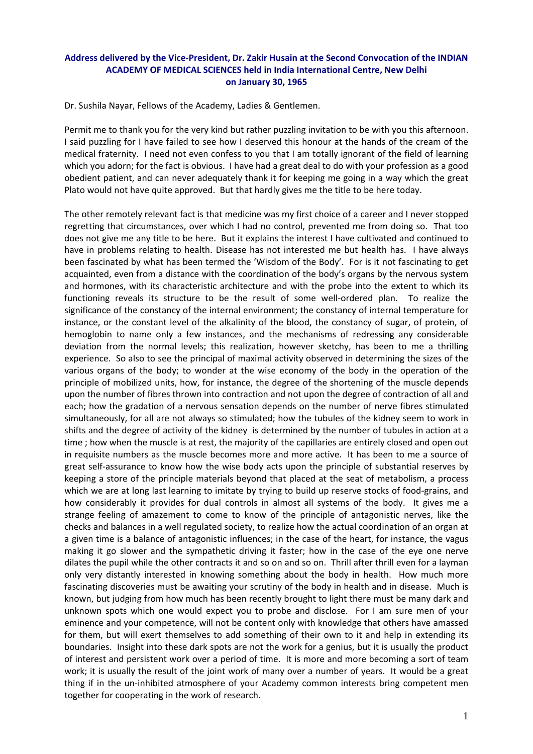## **Address delivered by the Vice‐President, Dr. Zakir Husain at the Second Convocation of the INDIAN ACADEMY OF MEDICAL SCIENCES held in India International Centre, New Delhi on January 30, 1965**

Dr. Sushila Nayar, Fellows of the Academy, Ladies & Gentlemen.

Permit me to thank you for the very kind but rather puzzling invitation to be with you this afternoon. I said puzzling for I have failed to see how I deserved this honour at the hands of the cream of the medical fraternity. I need not even confess to you that I am totally ignorant of the field of learning which you adorn; for the fact is obvious. I have had a great deal to do with your profession as a good obedient patient, and can never adequately thank it for keeping me going in a way which the great Plato would not have quite approved. But that hardly gives me the title to be here today.

The other remotely relevant fact is that medicine was my first choice of a career and I never stopped regretting that circumstances, over which I had no control, prevented me from doing so. That too does not give me any title to be here. But it explains the interest I have cultivated and continued to have in problems relating to health. Disease has not interested me but health has. I have always been fascinated by what has been termed the 'Wisdom of the Body'. For is it not fascinating to get acquainted, even from a distance with the coordination of the body's organs by the nervous system and hormones, with its characteristic architecture and with the probe into the extent to which its functioning reveals its structure to be the result of some well-ordered plan. To realize the significance of the constancy of the internal environment; the constancy of internal temperature for instance, or the constant level of the alkalinity of the blood, the constancy of sugar, of protein, of hemoglobin to name only a few instances, and the mechanisms of redressing any considerable deviation from the normal levels; this realization, however sketchy, has been to me a thrilling experience. So also to see the principal of maximal activity observed in determining the sizes of the various organs of the body; to wonder at the wise economy of the body in the operation of the principle of mobilized units, how, for instance, the degree of the shortening of the muscle depends upon the number of fibres thrown into contraction and not upon the degree of contraction of all and each; how the gradation of a nervous sensation depends on the number of nerve fibres stimulated simultaneously, for all are not always so stimulated; how the tubules of the kidney seem to work in shifts and the degree of activity of the kidney is determined by the number of tubules in action at a time ; how when the muscle is at rest, the majority of the capillaries are entirely closed and open out in requisite numbers as the muscle becomes more and more active. It has been to me a source of great self-assurance to know how the wise body acts upon the principle of substantial reserves by keeping a store of the principle materials beyond that placed at the seat of metabolism, a process which we are at long last learning to imitate by trying to build up reserve stocks of food-grains, and how considerably it provides for dual controls in almost all systems of the body. It gives me a strange feeling of amazement to come to know of the principle of antagonistic nerves, like the checks and balances in a well regulated society, to realize how the actual coordination of an organ at a given time is a balance of antagonistic influences; in the case of the heart, for instance, the vagus making it go slower and the sympathetic driving it faster; how in the case of the eye one nerve dilates the pupil while the other contracts it and so on and so on. Thrill after thrill even for a layman only very distantly interested in knowing something about the body in health. How much more fascinating discoveries must be awaiting your scrutiny of the body in health and in disease. Much is known, but judging from how much has been recently brought to light there must be many dark and unknown spots which one would expect you to probe and disclose. For I am sure men of your eminence and your competence, will not be content only with knowledge that others have amassed for them, but will exert themselves to add something of their own to it and help in extending its boundaries. Insight into these dark spots are not the work for a genius, but it is usually the product of interest and persistent work over a period of time. It is more and more becoming a sort of team work; it is usually the result of the joint work of many over a number of years. It would be a great thing if in the un‐inhibited atmosphere of your Academy common interests bring competent men together for cooperating in the work of research.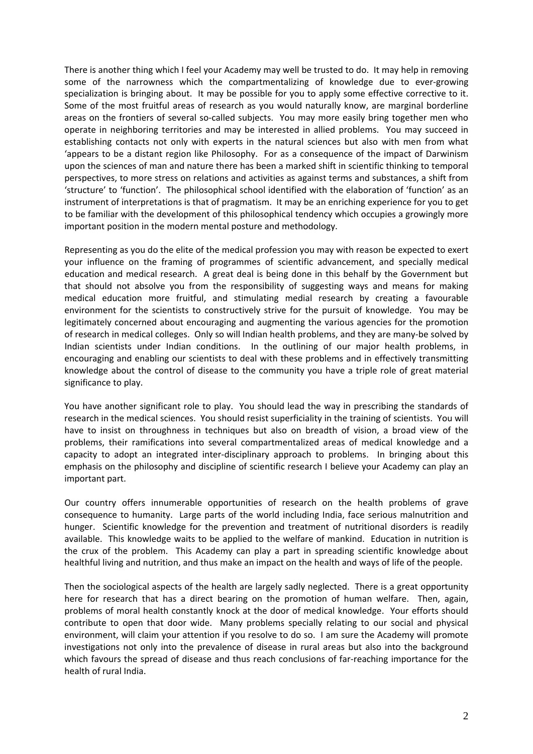There is another thing which I feel your Academy may well be trusted to do. It may help in removing some of the narrowness which the compartmentalizing of knowledge due to ever-growing specialization is bringing about. It may be possible for you to apply some effective corrective to it. Some of the most fruitful areas of research as you would naturally know, are marginal borderline areas on the frontiers of several so-called subjects. You may more easily bring together men who operate in neighboring territories and may be interested in allied problems. You may succeed in establishing contacts not only with experts in the natural sciences but also with men from what 'appears to be a distant region like Philosophy. For as a consequence of the impact of Darwinism upon the sciences of man and nature there has been a marked shift in scientific thinking to temporal perspectives, to more stress on relations and activities as against terms and substances, a shift from 'structure' to 'function'. The philosophical school identified with the elaboration of 'function' as an instrument of interpretations is that of pragmatism. It may be an enriching experience for you to get to be familiar with the development of this philosophical tendency which occupies a growingly more important position in the modern mental posture and methodology.

Representing as you do the elite of the medical profession you may with reason be expected to exert your influence on the framing of programmes of scientific advancement, and specially medical education and medical research. A great deal is being done in this behalf by the Government but that should not absolve you from the responsibility of suggesting ways and means for making medical education more fruitful, and stimulating medial research by creating a favourable environment for the scientists to constructively strive for the pursuit of knowledge. You may be legitimately concerned about encouraging and augmenting the various agencies for the promotion of research in medical colleges. Only so will Indian health problems, and they are many‐be solved by Indian scientists under Indian conditions. In the outlining of our major health problems, in encouraging and enabling our scientists to deal with these problems and in effectively transmitting knowledge about the control of disease to the community you have a triple role of great material significance to play.

You have another significant role to play. You should lead the way in prescribing the standards of research in the medical sciences. You should resist superficiality in the training of scientists. You will have to insist on throughness in techniques but also on breadth of vision, a broad view of the problems, their ramifications into several compartmentalized areas of medical knowledge and a capacity to adopt an integrated inter-disciplinary approach to problems. In bringing about this emphasis on the philosophy and discipline of scientific research I believe your Academy can play an important part.

Our country offers innumerable opportunities of research on the health problems of grave consequence to humanity. Large parts of the world including India, face serious malnutrition and hunger. Scientific knowledge for the prevention and treatment of nutritional disorders is readily available. This knowledge waits to be applied to the welfare of mankind. Education in nutrition is the crux of the problem. This Academy can play a part in spreading scientific knowledge about healthful living and nutrition, and thus make an impact on the health and ways of life of the people.

Then the sociological aspects of the health are largely sadly neglected. There is a great opportunity here for research that has a direct bearing on the promotion of human welfare. Then, again, problems of moral health constantly knock at the door of medical knowledge. Your efforts should contribute to open that door wide. Many problems specially relating to our social and physical environment, will claim your attention if you resolve to do so. I am sure the Academy will promote investigations not only into the prevalence of disease in rural areas but also into the background which favours the spread of disease and thus reach conclusions of far-reaching importance for the health of rural India.